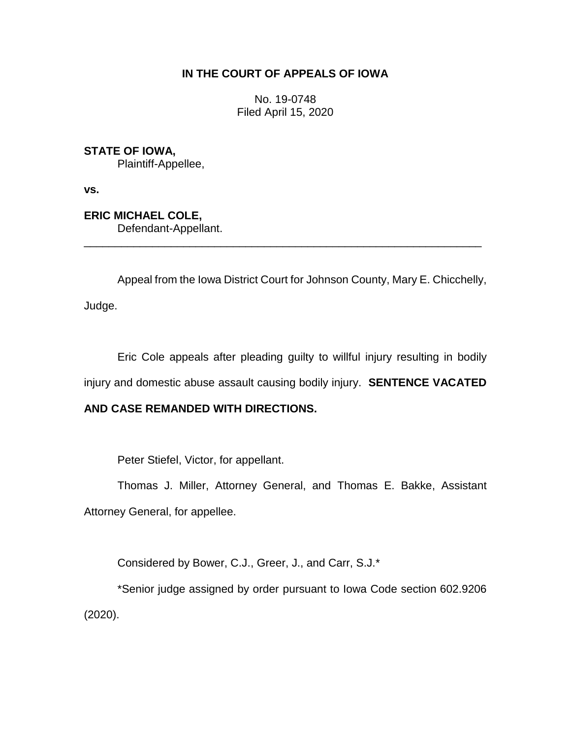## **IN THE COURT OF APPEALS OF IOWA**

No. 19-0748 Filed April 15, 2020

**STATE OF IOWA,** Plaintiff-Appellee,

**vs.**

**ERIC MICHAEL COLE,** Defendant-Appellant.

Appeal from the Iowa District Court for Johnson County, Mary E. Chicchelly,

\_\_\_\_\_\_\_\_\_\_\_\_\_\_\_\_\_\_\_\_\_\_\_\_\_\_\_\_\_\_\_\_\_\_\_\_\_\_\_\_\_\_\_\_\_\_\_\_\_\_\_\_\_\_\_\_\_\_\_\_\_\_\_\_

Judge.

Eric Cole appeals after pleading guilty to willful injury resulting in bodily injury and domestic abuse assault causing bodily injury. **SENTENCE VACATED** 

## **AND CASE REMANDED WITH DIRECTIONS.**

Peter Stiefel, Victor, for appellant.

Thomas J. Miller, Attorney General, and Thomas E. Bakke, Assistant Attorney General, for appellee.

Considered by Bower, C.J., Greer, J., and Carr, S.J.\*

\*Senior judge assigned by order pursuant to Iowa Code section 602.9206 (2020).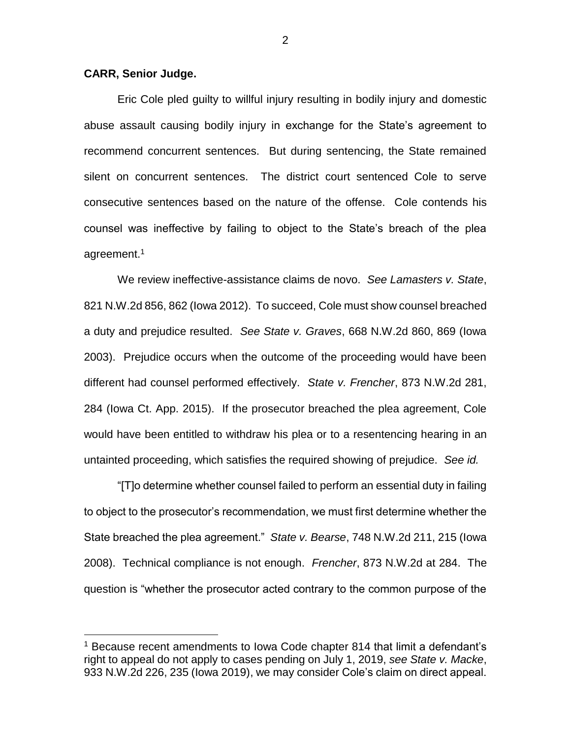## **CARR, Senior Judge.**

 $\overline{a}$ 

Eric Cole pled guilty to willful injury resulting in bodily injury and domestic abuse assault causing bodily injury in exchange for the State's agreement to recommend concurrent sentences. But during sentencing, the State remained silent on concurrent sentences. The district court sentenced Cole to serve consecutive sentences based on the nature of the offense. Cole contends his counsel was ineffective by failing to object to the State's breach of the plea agreement.<sup>1</sup>

We review ineffective-assistance claims de novo. *See Lamasters v. State*, 821 N.W.2d 856, 862 (Iowa 2012). To succeed, Cole must show counsel breached a duty and prejudice resulted. *See State v. Graves*, 668 N.W.2d 860, 869 (Iowa 2003). Prejudice occurs when the outcome of the proceeding would have been different had counsel performed effectively. *State v. Frencher*, 873 N.W.2d 281, 284 (Iowa Ct. App. 2015). If the prosecutor breached the plea agreement, Cole would have been entitled to withdraw his plea or to a resentencing hearing in an untainted proceeding, which satisfies the required showing of prejudice. *See id.*

"[T]o determine whether counsel failed to perform an essential duty in failing to object to the prosecutor's recommendation, we must first determine whether the State breached the plea agreement." *State v. Bearse*, 748 N.W.2d 211, 215 (Iowa 2008). Technical compliance is not enough. *Frencher*, 873 N.W.2d at 284. The question is "whether the prosecutor acted contrary to the common purpose of the

2

<sup>&</sup>lt;sup>1</sup> Because recent amendments to Iowa Code chapter 814 that limit a defendant's right to appeal do not apply to cases pending on July 1, 2019, *see State v. Macke*, 933 N.W.2d 226, 235 (Iowa 2019), we may consider Cole's claim on direct appeal.